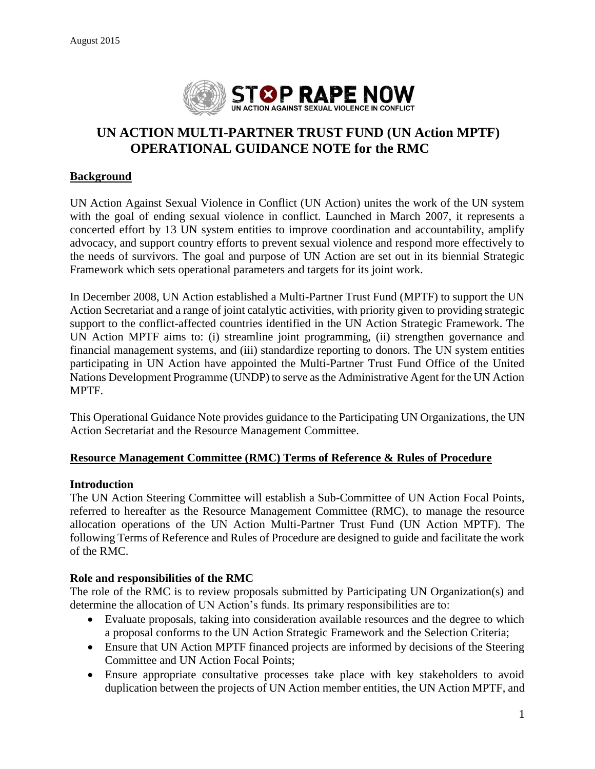

# **UN ACTION MULTI-PARTNER TRUST FUND (UN Action MPTF) OPERATIONAL GUIDANCE NOTE for the RMC**

#### **Background**

UN Action Against Sexual Violence in Conflict (UN Action) unites the work of the UN system with the goal of ending sexual violence in conflict. Launched in March 2007, it represents a concerted effort by 13 UN system entities to improve coordination and accountability, amplify advocacy, and support country efforts to prevent sexual violence and respond more effectively to the needs of survivors. The goal and purpose of UN Action are set out in its biennial Strategic Framework which sets operational parameters and targets for its joint work.

In December 2008, UN Action established a Multi-Partner Trust Fund (MPTF) to support the UN Action Secretariat and a range of joint catalytic activities, with priority given to providing strategic support to the conflict-affected countries identified in the UN Action Strategic Framework. The UN Action MPTF aims to: (i) streamline joint programming, (ii) strengthen governance and financial management systems, and (iii) standardize reporting to donors. The UN system entities participating in UN Action have appointed the Multi-Partner Trust Fund Office of the United Nations Development Programme (UNDP) to serve as the Administrative Agent for the UN Action MPTF.

This Operational Guidance Note provides guidance to the Participating UN Organizations, the UN Action Secretariat and the Resource Management Committee.

#### **Resource Management Committee (RMC) Terms of Reference & Rules of Procedure**

#### **Introduction**

The UN Action Steering Committee will establish a Sub-Committee of UN Action Focal Points, referred to hereafter as the Resource Management Committee (RMC), to manage the resource allocation operations of the UN Action Multi-Partner Trust Fund (UN Action MPTF). The following Terms of Reference and Rules of Procedure are designed to guide and facilitate the work of the RMC.

#### **Role and responsibilities of the RMC**

The role of the RMC is to review proposals submitted by Participating UN Organization(s) and determine the allocation of UN Action's funds. Its primary responsibilities are to:

- Evaluate proposals, taking into consideration available resources and the degree to which a proposal conforms to the UN Action Strategic Framework and the Selection Criteria;
- Ensure that UN Action MPTF financed projects are informed by decisions of the Steering Committee and UN Action Focal Points;
- Ensure appropriate consultative processes take place with key stakeholders to avoid duplication between the projects of UN Action member entities, the UN Action MPTF, and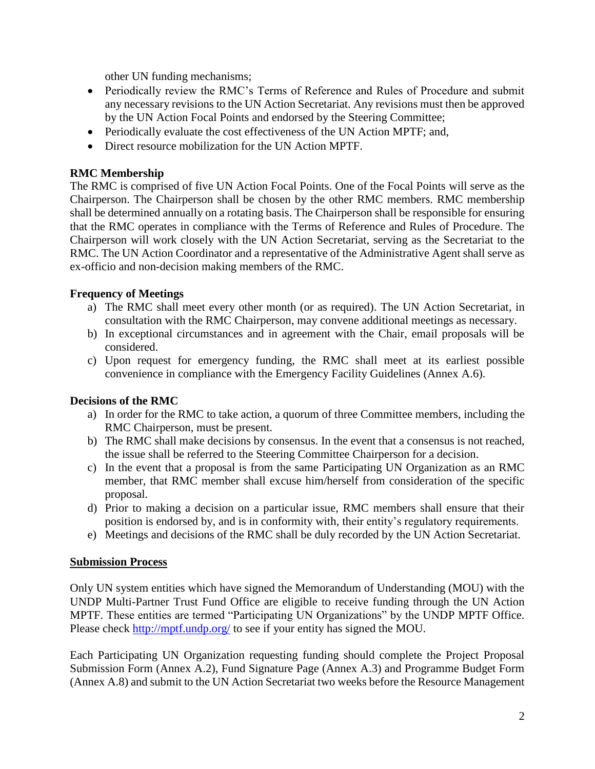other UN funding mechanisms;

- Periodically review the RMC's Terms of Reference and Rules of Procedure and submit any necessary revisions to the UN Action Secretariat. Any revisions must then be approved by the UN Action Focal Points and endorsed by the Steering Committee;
- Periodically evaluate the cost effectiveness of the UN Action MPTF; and,
- Direct resource mobilization for the UN Action MPTF.

#### **RMC Membership**

The RMC is comprised of five UN Action Focal Points. One of the Focal Points will serve as the Chairperson. The Chairperson shall be chosen by the other RMC members. RMC membership shall be determined annually on a rotating basis. The Chairperson shall be responsible for ensuring that the RMC operates in compliance with the Terms of Reference and Rules of Procedure. The Chairperson will work closely with the UN Action Secretariat, serving as the Secretariat to the RMC. The UN Action Coordinator and a representative of the Administrative Agent shall serve as ex-officio and non-decision making members of the RMC.

#### **Frequency of Meetings**

- a) The RMC shall meet every other month (or as required). The UN Action Secretariat, in consultation with the RMC Chairperson, may convene additional meetings as necessary.
- b) In exceptional circumstances and in agreement with the Chair, email proposals will be considered.
- c) Upon request for emergency funding, the RMC shall meet at its earliest possible convenience in compliance with the Emergency Facility Guidelines (Annex A.6).

#### **Decisions of the RMC**

- a) In order for the RMC to take action, a quorum of three Committee members, including the RMC Chairperson, must be present.
- b) The RMC shall make decisions by consensus. In the event that a consensus is not reached, the issue shall be referred to the Steering Committee Chairperson for a decision.
- c) In the event that a proposal is from the same Participating UN Organization as an RMC member, that RMC member shall excuse him/herself from consideration of the specific proposal.
- d) Prior to making a decision on a particular issue, RMC members shall ensure that their position is endorsed by, and is in conformity with, their entity's regulatory requirements.
- e) Meetings and decisions of the RMC shall be duly recorded by the UN Action Secretariat.

#### **Submission Process**

Only UN system entities which have signed the Memorandum of Understanding (MOU) with the UNDP Multi-Partner Trust Fund Office are eligible to receive funding through the UN Action MPTF. These entities are termed "Participating UN Organizations" by the UNDP MPTF Office. Please check<http://mptf.undp.org/> to see if your entity has signed the MOU.

Each Participating UN Organization requesting funding should complete the Project Proposal Submission Form (Annex A.2), Fund Signature Page (Annex A.3) and Programme Budget Form (Annex A.8) and submit to the UN Action Secretariat two weeks before the Resource Management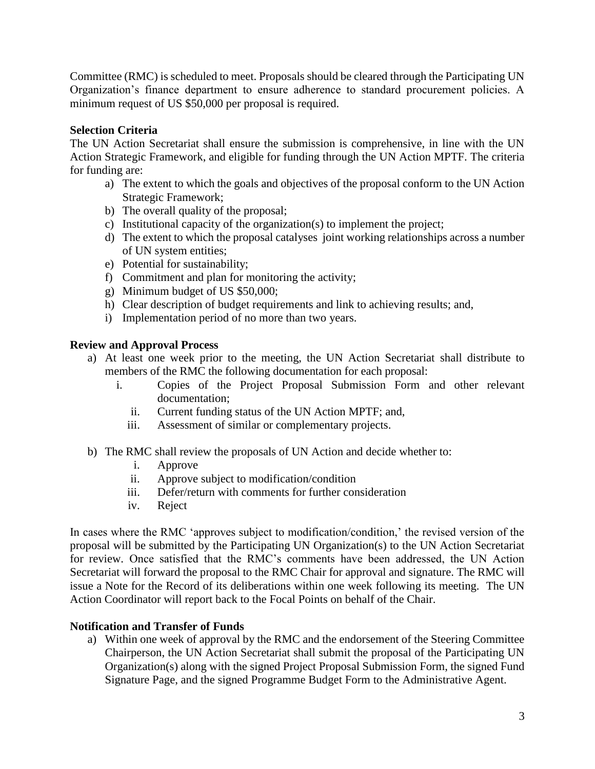Committee (RMC) is scheduled to meet. Proposals should be cleared through the Participating UN Organization's finance department to ensure adherence to standard procurement policies. A minimum request of US \$50,000 per proposal is required.

#### **Selection Criteria**

The UN Action Secretariat shall ensure the submission is comprehensive, in line with the UN Action Strategic Framework, and eligible for funding through the UN Action MPTF. The criteria for funding are:

- a) The extent to which the goals and objectives of the proposal conform to the UN Action Strategic Framework;
- b) The overall quality of the proposal;
- c) Institutional capacity of the organization(s) to implement the project;
- d) The extent to which the proposal catalyses joint working relationships across a number of UN system entities;
- e) Potential for sustainability;
- f) Commitment and plan for monitoring the activity;
- g) Minimum budget of US \$50,000;
- h) Clear description of budget requirements and link to achieving results; and,
- i) Implementation period of no more than two years.

#### **Review and Approval Process**

- a) At least one week prior to the meeting, the UN Action Secretariat shall distribute to members of the RMC the following documentation for each proposal:
	- i. Copies of the Project Proposal Submission Form and other relevant documentation;
		- ii. Current funding status of the UN Action MPTF; and,
		- iii. Assessment of similar or complementary projects.
- b) The RMC shall review the proposals of UN Action and decide whether to:
	- i. Approve
	- ii. Approve subject to modification/condition
	- iii. Defer/return with comments for further consideration
	- iv. Reject

In cases where the RMC 'approves subject to modification/condition,' the revised version of the proposal will be submitted by the Participating UN Organization(s) to the UN Action Secretariat for review. Once satisfied that the RMC's comments have been addressed, the UN Action Secretariat will forward the proposal to the RMC Chair for approval and signature. The RMC will issue a Note for the Record of its deliberations within one week following its meeting. The UN Action Coordinator will report back to the Focal Points on behalf of the Chair.

#### **Notification and Transfer of Funds**

a) Within one week of approval by the RMC and the endorsement of the Steering Committee Chairperson, the UN Action Secretariat shall submit the proposal of the Participating UN Organization(s) along with the signed Project Proposal Submission Form, the signed Fund Signature Page, and the signed Programme Budget Form to the Administrative Agent.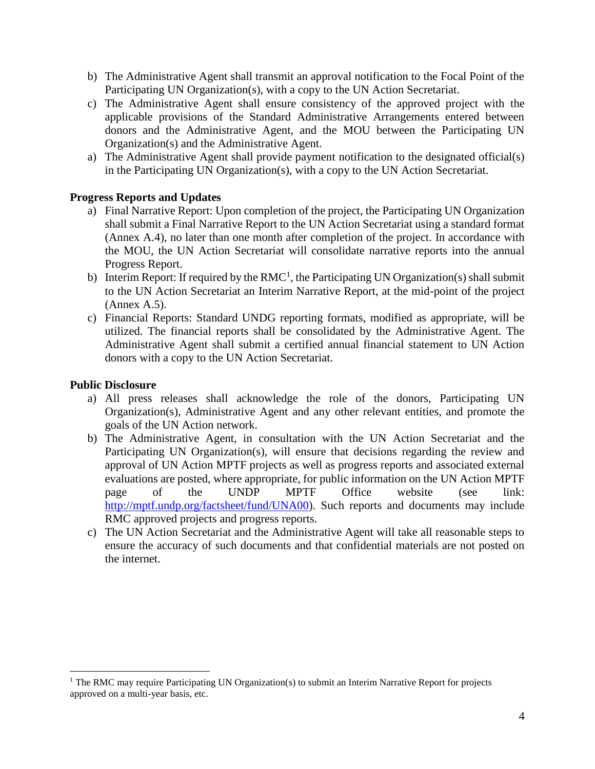- b) The Administrative Agent shall transmit an approval notification to the Focal Point of the Participating UN Organization(s), with a copy to the UN Action Secretariat.
- c) The Administrative Agent shall ensure consistency of the approved project with the applicable provisions of the Standard Administrative Arrangements entered between donors and the Administrative Agent, and the MOU between the Participating UN Organization(s) and the Administrative Agent.
- a) The Administrative Agent shall provide payment notification to the designated official(s) in the Participating UN Organization(s), with a copy to the UN Action Secretariat.

#### **Progress Reports and Updates**

- a) Final Narrative Report: Upon completion of the project, the Participating UN Organization shall submit a Final Narrative Report to the UN Action Secretariat using a standard format (Annex A.4), no later than one month after completion of the project. In accordance with the MOU, the UN Action Secretariat will consolidate narrative reports into the annual Progress Report.
- b) Interim Report: If required by the RMC<sup>1</sup>, the Participating UN Organization(s) shall submit to the UN Action Secretariat an Interim Narrative Report, at the mid-point of the project (Annex A.5).
- c) Financial Reports: Standard UNDG reporting formats, modified as appropriate, will be utilized. The financial reports shall be consolidated by the Administrative Agent. The Administrative Agent shall submit a certified annual financial statement to UN Action donors with a copy to the UN Action Secretariat.

#### **Public Disclosure**

- a) All press releases shall acknowledge the role of the donors, Participating UN Organization(s), Administrative Agent and any other relevant entities, and promote the goals of the UN Action network.
- b) The Administrative Agent, in consultation with the UN Action Secretariat and the Participating UN Organization(s), will ensure that decisions regarding the review and approval of UN Action MPTF projects as well as progress reports and associated external evaluations are posted, where appropriate, for public information on the UN Action MPTF page of the UNDP MPTF Office website (see link: [http://mptf.undp.org/factsheet/fund/UNA00\)](http://mptf.undp.org/factsheet/fund/UNA00). Such reports and documents may include RMC approved projects and progress reports.
- c) The UN Action Secretariat and the Administrative Agent will take all reasonable steps to ensure the accuracy of such documents and that confidential materials are not posted on the internet.

<sup>&</sup>lt;sup>1</sup> The RMC may require Participating UN Organization(s) to submit an Interim Narrative Report for projects approved on a multi-year basis, etc.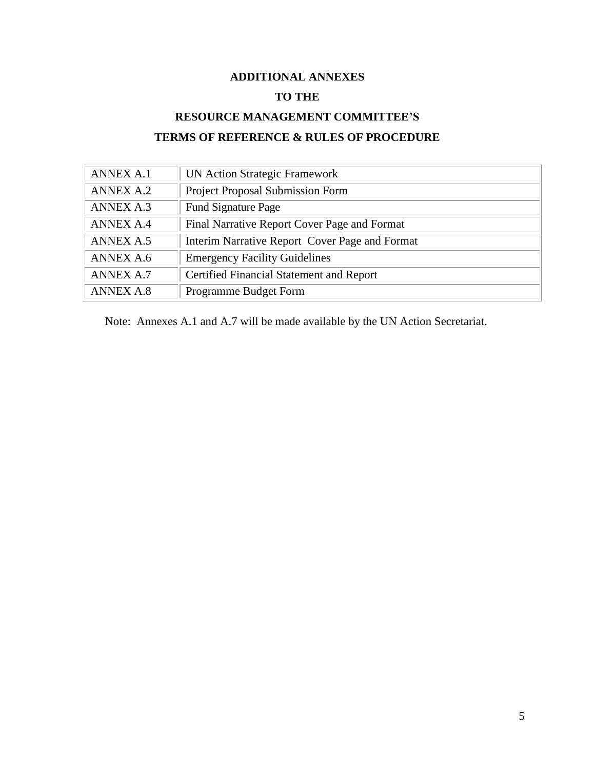# **ADDITIONAL ANNEXES TO THE**

# **RESOURCE MANAGEMENT COMMITTEE'S TERMS OF REFERENCE & RULES OF PROCEDURE**

| <b>ANNEX A.1</b> | <b>UN Action Strategic Framework</b>           |
|------------------|------------------------------------------------|
| <b>ANNEX A.2</b> | <b>Project Proposal Submission Form</b>        |
| <b>ANNEX A.3</b> | <b>Fund Signature Page</b>                     |
| <b>ANNEX A.4</b> | Final Narrative Report Cover Page and Format   |
| <b>ANNEX A.5</b> | Interim Narrative Report Cover Page and Format |
| <b>ANNEX A.6</b> | <b>Emergency Facility Guidelines</b>           |
| <b>ANNEX A.7</b> | Certified Financial Statement and Report       |
| <b>ANNEX A.8</b> | Programme Budget Form                          |

Note: Annexes A.1 and A.7 will be made available by the UN Action Secretariat.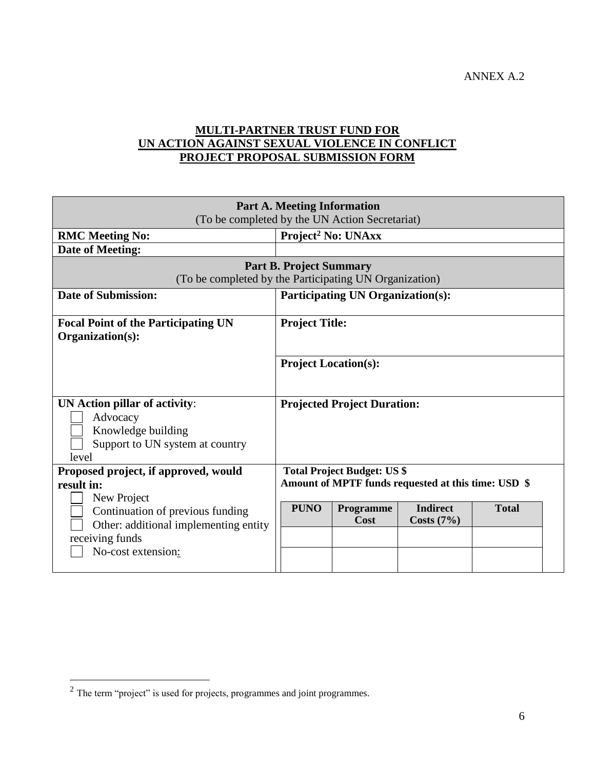ANNEX A.2

# **MULTI-PARTNER TRUST FUND FOR UN ACTION AGAINST SEXUAL VIOLENCE IN CONFLICT PROJECT PROPOSAL SUBMISSION FORM**

| <b>Part A. Meeting Information</b><br>(To be completed by the UN Action Secretariat)                               |                                                                                            |  |  |  |  |  |
|--------------------------------------------------------------------------------------------------------------------|--------------------------------------------------------------------------------------------|--|--|--|--|--|
| <b>RMC Meeting No:</b>                                                                                             | Project <sup>2</sup> No: UNAxx                                                             |  |  |  |  |  |
| Date of Meeting:                                                                                                   |                                                                                            |  |  |  |  |  |
| <b>Part B. Project Summary</b><br>(To be completed by the Participating UN Organization)                           |                                                                                            |  |  |  |  |  |
| <b>Date of Submission:</b>                                                                                         | <b>Participating UN Organization(s):</b>                                                   |  |  |  |  |  |
| <b>Focal Point of the Participating UN</b><br>Organization(s):                                                     | <b>Project Title:</b>                                                                      |  |  |  |  |  |
|                                                                                                                    | <b>Project Location(s):</b>                                                                |  |  |  |  |  |
| UN Action pillar of activity:<br>Advocacy<br>Knowledge building<br>Support to UN system at country<br>level        | <b>Projected Project Duration:</b>                                                         |  |  |  |  |  |
| Proposed project, if approved, would<br>result in:<br>New Project                                                  | <b>Total Project Budget: US \$</b><br>Amount of MPTF funds requested at this time: USD \$  |  |  |  |  |  |
| Continuation of previous funding<br>Other: additional implementing entity<br>receiving funds<br>No-cost extension: | <b>Indirect</b><br><b>PUNO</b><br><b>Total</b><br><b>Programme</b><br>Cost<br>Costs $(7%)$ |  |  |  |  |  |

 $2$  The term "project" is used for projects, programmes and joint programmes.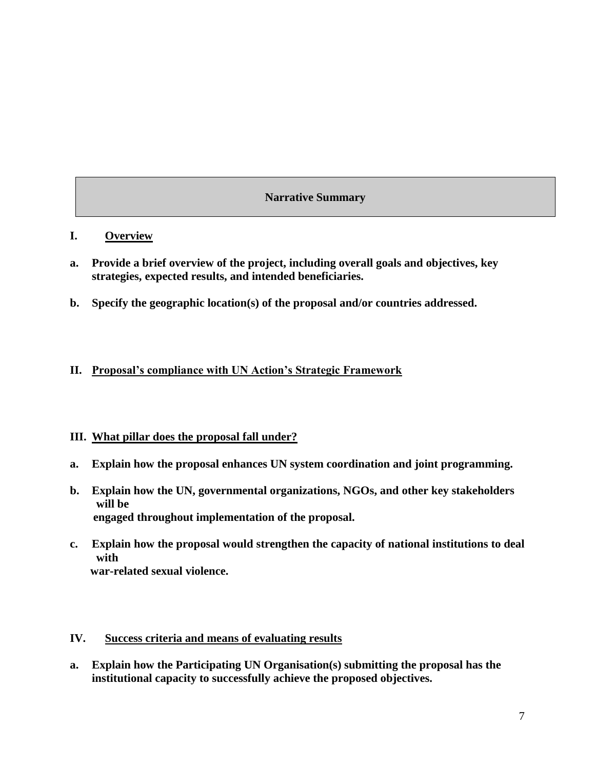#### **Narrative Summary**

#### **I. Overview**

- **a. Provide a brief overview of the project, including overall goals and objectives, key strategies, expected results, and intended beneficiaries.**
- **b. Specify the geographic location(s) of the proposal and/or countries addressed.**

#### **II. Proposal's compliance with UN Action's Strategic Framework**

#### **III. What pillar does the proposal fall under?**

- **a. Explain how the proposal enhances UN system coordination and joint programming.**
- **b. Explain how the UN, governmental organizations, NGOs, and other key stakeholders will be engaged throughout implementation of the proposal.**
- **c. Explain how the proposal would strengthen the capacity of national institutions to deal with war-related sexual violence.**

#### **IV. Success criteria and means of evaluating results**

**a. Explain how the Participating UN Organisation(s) submitting the proposal has the institutional capacity to successfully achieve the proposed objectives.**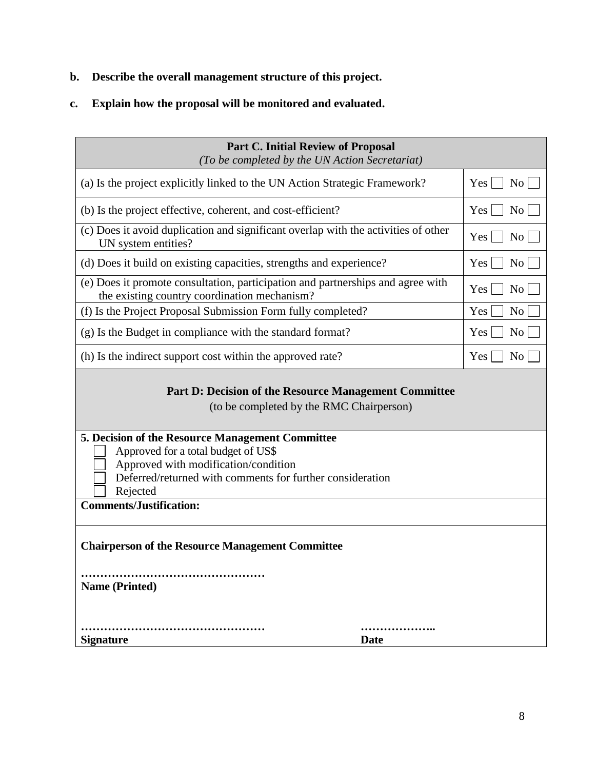- **b. Describe the overall management structure of this project.**
- **c. Explain how the proposal will be monitored and evaluated.**

| <b>Part C. Initial Review of Proposal</b><br>(To be completed by the UN Action Secretariat)                                                                                                                                                |                                    |                             |  |  |
|--------------------------------------------------------------------------------------------------------------------------------------------------------------------------------------------------------------------------------------------|------------------------------------|-----------------------------|--|--|
| (a) Is the project explicitly linked to the UN Action Strategic Framework?                                                                                                                                                                 | $Yes \mid \mid$<br>No              |                             |  |  |
| (b) Is the project effective, coherent, and cost-efficient?                                                                                                                                                                                | N <sub>0</sub><br>$Yes \mid \cdot$ |                             |  |  |
| (c) Does it avoid duplication and significant overlap with the activities of other<br>UN system entities?                                                                                                                                  | $Yes \mid$<br>N <sub>o</sub>       |                             |  |  |
| (d) Does it build on existing capacities, strengths and experience?                                                                                                                                                                        | N <sub>o</sub><br>$Yes$            |                             |  |  |
| (e) Does it promote consultation, participation and partnerships and agree with<br>the existing country coordination mechanism?                                                                                                            |                                    | Yes  <br>No                 |  |  |
| (f) Is the Project Proposal Submission Form fully completed?                                                                                                                                                                               |                                    | Yes<br>N <sub>0</sub>       |  |  |
| (g) Is the Budget in compliance with the standard format?                                                                                                                                                                                  | N <sub>o</sub><br>Yes              |                             |  |  |
| (h) Is the indirect support cost within the approved rate?                                                                                                                                                                                 |                                    | $Yes$    <br>N <sub>0</sub> |  |  |
| <b>Part D: Decision of the Resource Management Committee</b><br>(to be completed by the RMC Chairperson)                                                                                                                                   |                                    |                             |  |  |
| 5. Decision of the Resource Management Committee<br>Approved for a total budget of US\$<br>Approved with modification/condition<br>Deferred/returned with comments for further consideration<br>Rejected<br><b>Comments/Justification:</b> |                                    |                             |  |  |
| <b>Chairperson of the Resource Management Committee</b><br><b>Name (Printed)</b>                                                                                                                                                           |                                    |                             |  |  |
| <b>Signature</b><br><b>Date</b>                                                                                                                                                                                                            |                                    |                             |  |  |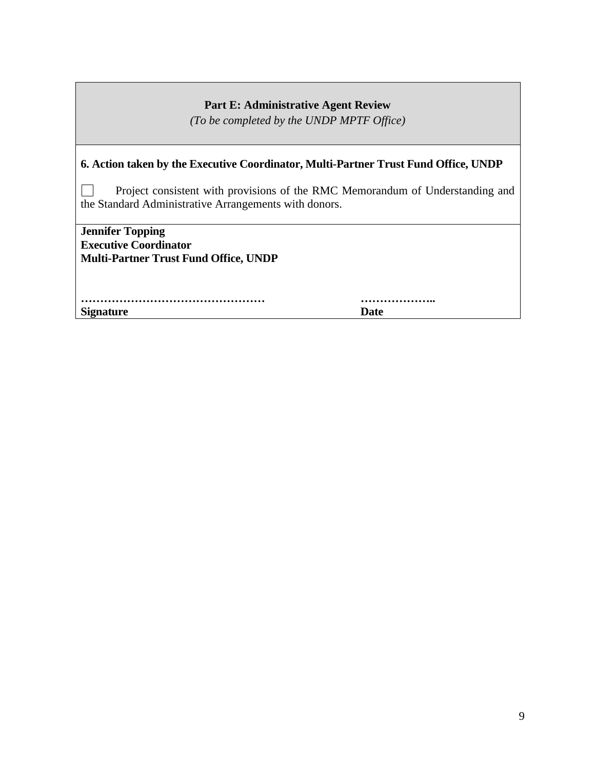#### **Part E: Administrative Agent Review**

*(To be completed by the UNDP MPTF Office)*

#### **6. Action taken by the Executive Coordinator, Multi-Partner Trust Fund Office, UNDP**

Project consistent with provisions of the RMC Memorandum of Understanding and  $\overline{\phantom{a}}$ the Standard Administrative Arrangements with donors.

**Jennifer Topping Executive Coordinator Multi-Partner Trust Fund Office, UNDP** 

**………………………………………… ……………….. Signature Date**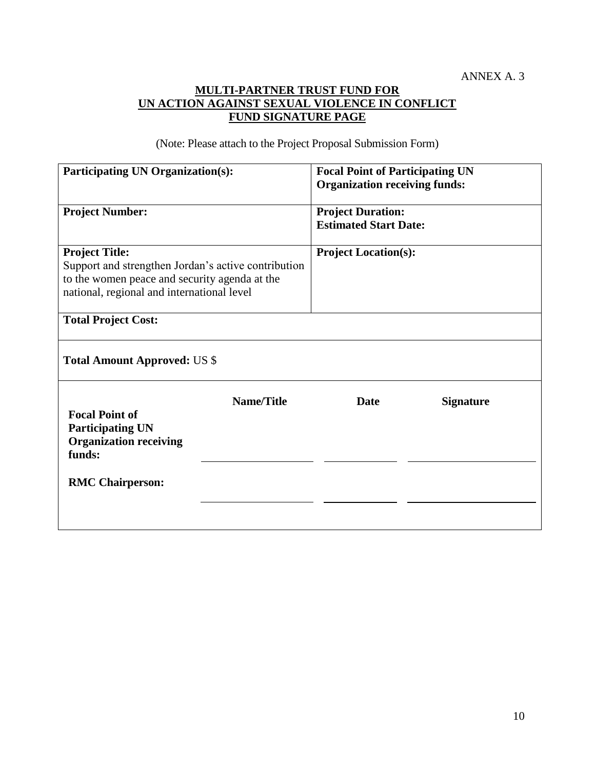### **MULTI-PARTNER TRUST FUND FOR UN ACTION AGAINST SEXUAL VIOLENCE IN CONFLICT FUND SIGNATURE PAGE**

(Note: Please attach to the Project Proposal Submission Form)

| <b>Participating UN Organization(s):</b>                                                                                                                                    |                   | <b>Focal Point of Participating UN</b><br><b>Organization receiving funds:</b> |                  |  |  |  |
|-----------------------------------------------------------------------------------------------------------------------------------------------------------------------------|-------------------|--------------------------------------------------------------------------------|------------------|--|--|--|
| <b>Project Number:</b>                                                                                                                                                      |                   | <b>Project Duration:</b><br><b>Estimated Start Date:</b>                       |                  |  |  |  |
| <b>Project Title:</b><br>Support and strengthen Jordan's active contribution<br>to the women peace and security agenda at the<br>national, regional and international level |                   | <b>Project Location(s):</b>                                                    |                  |  |  |  |
| <b>Total Project Cost:</b>                                                                                                                                                  |                   |                                                                                |                  |  |  |  |
| <b>Total Amount Approved: US \$</b>                                                                                                                                         |                   |                                                                                |                  |  |  |  |
| <b>Focal Point of</b><br><b>Participating UN</b><br><b>Organization receiving</b><br>funds:<br><b>RMC Chairperson:</b>                                                      | <b>Name/Title</b> | <b>Date</b>                                                                    | <b>Signature</b> |  |  |  |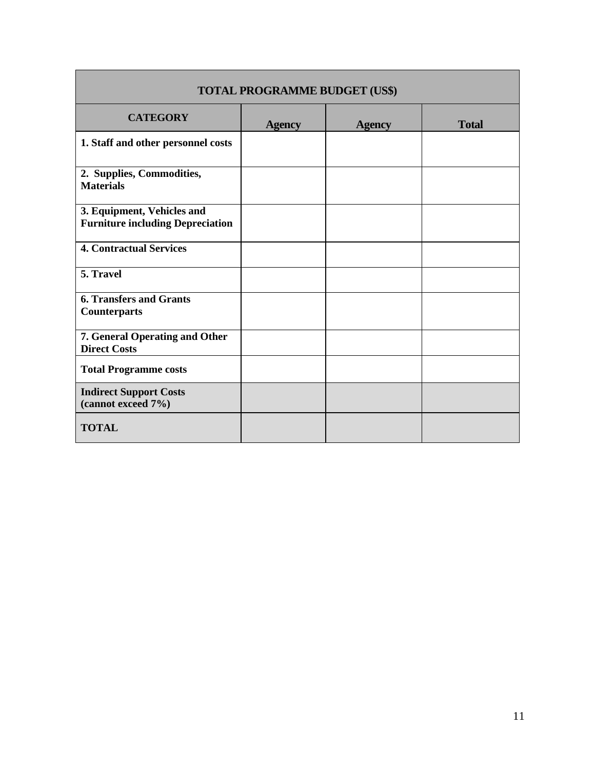| <b>TOTAL PROGRAMME BUDGET (US\$)</b>                                  |               |               |              |  |  |  |
|-----------------------------------------------------------------------|---------------|---------------|--------------|--|--|--|
| <b>CATEGORY</b>                                                       | <b>Agency</b> | <b>Agency</b> | <b>Total</b> |  |  |  |
| 1. Staff and other personnel costs                                    |               |               |              |  |  |  |
| 2. Supplies, Commodities,<br><b>Materials</b>                         |               |               |              |  |  |  |
| 3. Equipment, Vehicles and<br><b>Furniture including Depreciation</b> |               |               |              |  |  |  |
| <b>4. Contractual Services</b>                                        |               |               |              |  |  |  |
| 5. Travel                                                             |               |               |              |  |  |  |
| <b>6. Transfers and Grants</b><br><b>Counterparts</b>                 |               |               |              |  |  |  |
| 7. General Operating and Other<br><b>Direct Costs</b>                 |               |               |              |  |  |  |
| <b>Total Programme costs</b>                                          |               |               |              |  |  |  |
| <b>Indirect Support Costs</b><br>(cannot exceed 7%)                   |               |               |              |  |  |  |
| <b>TOTAL</b>                                                          |               |               |              |  |  |  |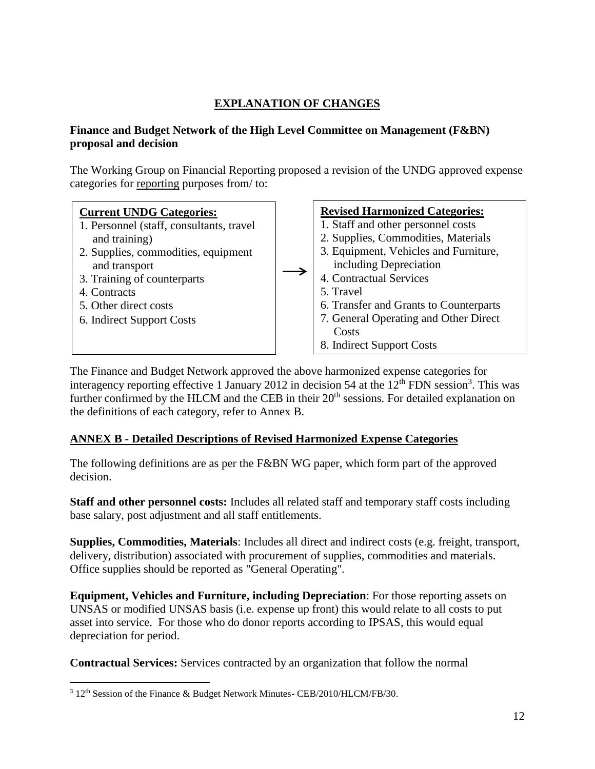# **EXPLANATION OF CHANGES**

#### **Finance and Budget Network of the High Level Committee on Management (F&BN) proposal and decision**

The Working Group on Financial Reporting proposed a revision of the UNDG approved expense categories for reporting purposes from/ to:



The Finance and Budget Network approved the above harmonized expense categories for interagency reporting effective 1 January 2012 in decision 54 at the  $12<sup>th</sup>$  FDN session<sup>3</sup>. This was further confirmed by the HLCM and the CEB in their 20<sup>th</sup> sessions. For detailed explanation on the definitions of each category, refer to Annex B.

# **ANNEX B - Detailed Descriptions of Revised Harmonized Expense Categories**

The following definitions are as per the F&BN WG paper, which form part of the approved decision.

**Staff and other personnel costs:** Includes all related staff and temporary staff costs including base salary, post adjustment and all staff entitlements.

**Supplies, Commodities, Materials**: Includes all direct and indirect costs (e.g. freight, transport, delivery, distribution) associated with procurement of supplies, commodities and materials. Office supplies should be reported as "General Operating".

**Equipment, Vehicles and Furniture, including Depreciation**: For those reporting assets on UNSAS or modified UNSAS basis (i.e. expense up front) this would relate to all costs to put asset into service. For those who do donor reports according to IPSAS, this would equal depreciation for period.

**Contractual Services:** Services contracted by an organization that follow the normal

 $3$  12<sup>th</sup> Session of the Finance & Budget Network Minutes- CEB/2010/HLCM/FB/30.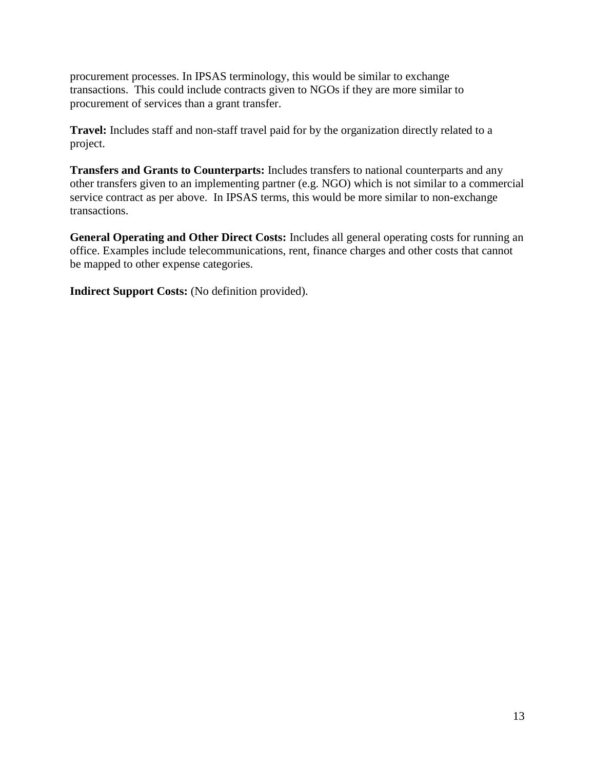procurement processes. In IPSAS terminology, this would be similar to exchange transactions. This could include contracts given to NGOs if they are more similar to procurement of services than a grant transfer.

**Travel:** Includes staff and non-staff travel paid for by the organization directly related to a project.

**Transfers and Grants to Counterparts:** Includes transfers to national counterparts and any other transfers given to an implementing partner (e.g. NGO) which is not similar to a commercial service contract as per above. In IPSAS terms, this would be more similar to non-exchange transactions.

**General Operating and Other Direct Costs:** Includes all general operating costs for running an office. Examples include telecommunications, rent, finance charges and other costs that cannot be mapped to other expense categories.

**Indirect Support Costs:** (No definition provided).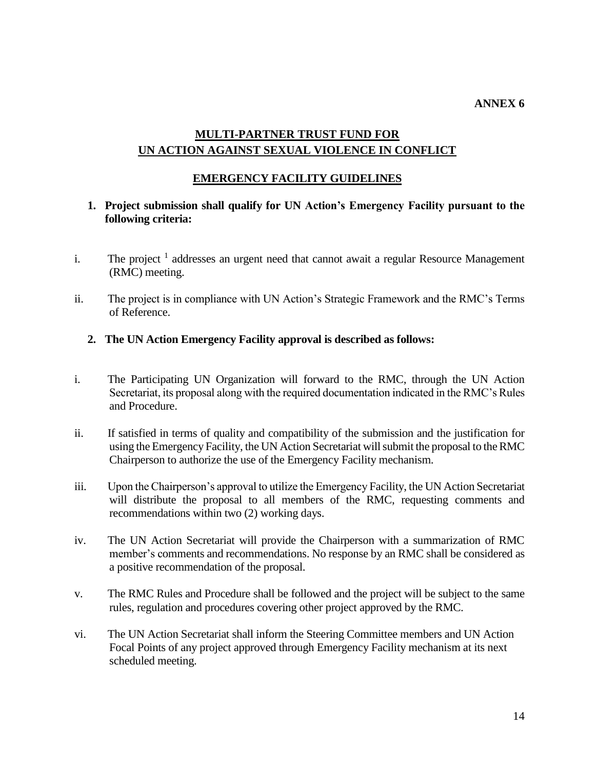# **MULTI-PARTNER TRUST FUND FOR UN ACTION AGAINST SEXUAL VIOLENCE IN CONFLICT**

#### **EMERGENCY FACILITY GUIDELINES**

#### **1. Project submission shall qualify for UN Action's Emergency Facility pursuant to the following criteria:**

- i. The project  $<sup>1</sup>$  addresses an urgent need that cannot await a regular Resource Management</sup> (RMC) meeting.
- ii. The project is in compliance with UN Action's Strategic Framework and the RMC's Terms of Reference.

#### **2. The UN Action Emergency Facility approval is described as follows:**

- i. The Participating UN Organization will forward to the RMC, through the UN Action Secretariat, its proposal along with the required documentation indicated in the RMC's Rules and Procedure.
- ii. If satisfied in terms of quality and compatibility of the submission and the justification for using the Emergency Facility, the UN Action Secretariat will submit the proposal to the RMC Chairperson to authorize the use of the Emergency Facility mechanism.
- iii. Upon the Chairperson's approval to utilize the Emergency Facility, the UN Action Secretariat will distribute the proposal to all members of the RMC, requesting comments and recommendations within two (2) working days.
- iv. The UN Action Secretariat will provide the Chairperson with a summarization of RMC member's comments and recommendations. No response by an RMC shall be considered as a positive recommendation of the proposal.
- v. The RMC Rules and Procedure shall be followed and the project will be subject to the same rules, regulation and procedures covering other project approved by the RMC.
- vi. The UN Action Secretariat shall inform the Steering Committee members and UN Action Focal Points of any project approved through Emergency Facility mechanism at its next scheduled meeting.